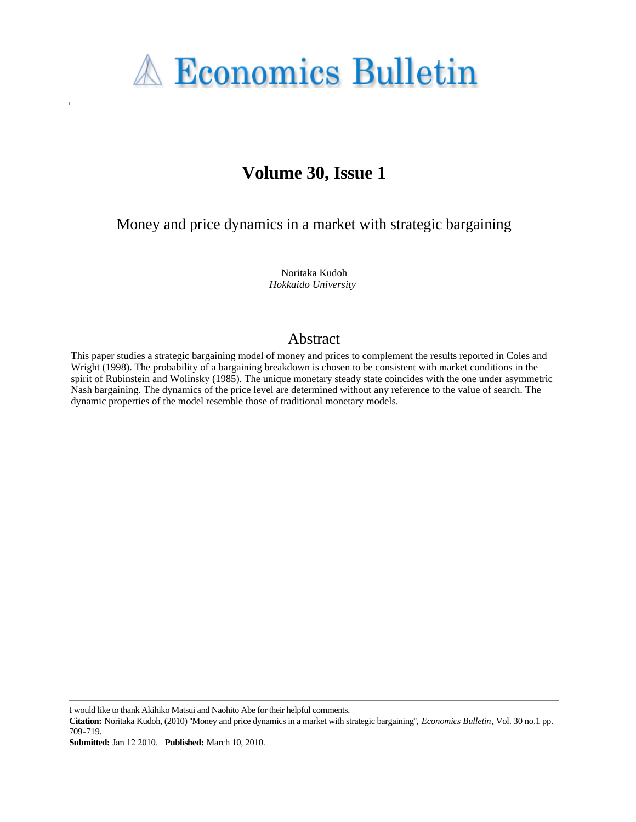

# **Volume 30, Issue 1**

Money and price dynamics in a market with strategic bargaining

Noritaka Kudoh *Hokkaido University*

#### Abstract

This paper studies a strategic bargaining model of money and prices to complement the results reported in Coles and Wright (1998). The probability of a bargaining breakdown is chosen to be consistent with market conditions in the spirit of Rubinstein and Wolinsky (1985). The unique monetary steady state coincides with the one under asymmetric Nash bargaining. The dynamics of the price level are determined without any reference to the value of search. The dynamic properties of the model resemble those of traditional monetary models.

I would like to thank Akihiko Matsui and Naohito Abe for their helpful comments.

**Citation:** Noritaka Kudoh, (2010) ''Money and price dynamics in a market with strategic bargaining'', *Economics Bulletin*, Vol. 30 no.1 pp. 709-719.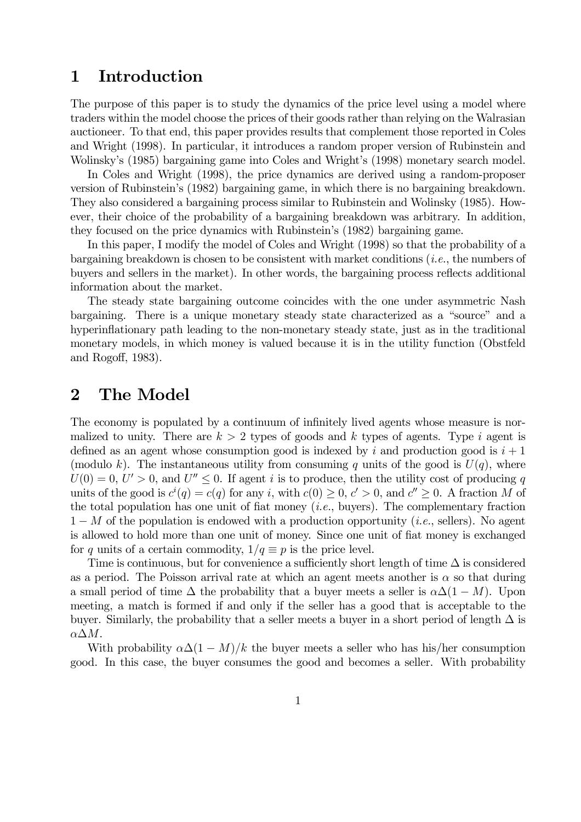### 1 Introduction

The purpose of this paper is to study the dynamics of the price level using a model where traders within the model choose the prices of their goods rather than relying on the Walrasian auctioneer. To that end, this paper provides results that complement those reported in Coles and Wright (1998). In particular, it introduces a random proper version of Rubinstein and Wolinsky's (1985) bargaining game into Coles and Wright's (1998) monetary search model.

In Coles and Wright (1998), the price dynamics are derived using a random-proposer version of Rubinstein's (1982) bargaining game, in which there is no bargaining breakdown. They also considered a bargaining process similar to Rubinstein and Wolinsky (1985). However, their choice of the probability of a bargaining breakdown was arbitrary. In addition, they focused on the price dynamics with Rubinstein's (1982) bargaining game.

In this paper, I modify the model of Coles and Wright (1998) so that the probability of a bargaining breakdown is chosen to be consistent with market conditions (i.e., the numbers of buyers and sellers in the market). In other words, the bargaining process reflects additional information about the market.

The steady state bargaining outcome coincides with the one under asymmetric Nash bargaining. There is a unique monetary steady state characterized as a "source" and a hyperinflationary path leading to the non-monetary steady state, just as in the traditional monetary models, in which money is valued because it is in the utility function (Obstfeld and Rogoff, 1983).

#### 2 The Model

The economy is populated by a continuum of infinitely lived agents whose measure is normalized to unity. There are  $k > 2$  types of goods and k types of agents. Type i agent is defined as an agent whose consumption good is indexed by i and production good is  $i + 1$ (modulo k). The instantaneous utility from consuming q units of the good is  $U(q)$ , where  $U(0) = 0, U' > 0$ , and  $U'' \leq 0$ . If agent i is to produce, then the utility cost of producing q units of the good is  $c^{i}(q) = c(q)$  for any i, with  $c(0) \geq 0$ ,  $c' > 0$ , and  $c'' \geq 0$ . A fraction M of the total population has one unit of fiat money  $(i.e.,$  buyers). The complementary fraction  $1-M$  of the population is endowed with a production opportunity (*i.e.*, sellers). No agent is allowed to hold more than one unit of money. Since one unit of fiat money is exchanged for q units of a certain commodity,  $1/q \equiv p$  is the price level.

Time is continuous, but for convenience a sufficiently short length of time  $\Delta$  is considered as a period. The Poisson arrival rate at which an agent meets another is  $\alpha$  so that during a small period of time  $\Delta$  the probability that a buyer meets a seller is  $\alpha\Delta(1-M)$ . Upon meeting, a match is formed if and only if the seller has a good that is acceptable to the buyer. Similarly, the probability that a seller meets a buyer in a short period of length  $\Delta$  is  $αΔM$ .

With probability  $\alpha\Delta(1-M)/k$  the buyer meets a seller who has his/her consumption good. In this case, the buyer consumes the good and becomes a seller. With probability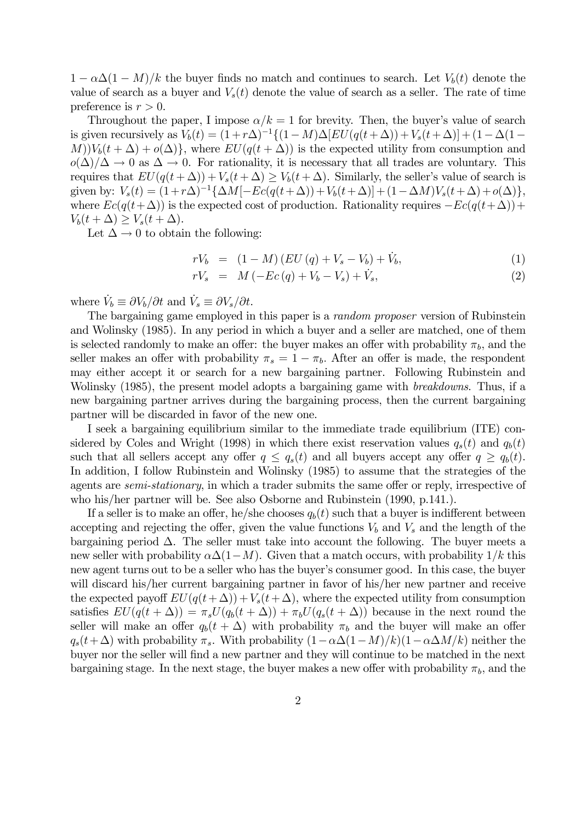$1 - \alpha \Delta (1 - M)/k$  the buyer finds no match and continues to search. Let  $V<sub>b</sub>(t)$  denote the value of search as a buyer and  $V_s(t)$  denote the value of search as a seller. The rate of time preference is  $r > 0$ .

Throughout the paper, I impose  $\alpha/k = 1$  for brevity. Then, the buyer's value of search is given recursively as  $V_b(t) = (1 + r\Delta)^{-1}\{(1-M)\Delta\}EU(q(t+\Delta)) + V_s(t+\Delta)\} + (1-\Delta(1-\Delta))$  $M$ ) $V_b(t + \Delta) + o(\Delta)$ , where  $EU(q(t + \Delta))$  is the expected utility from consumption and  $o(\Delta)/\Delta \to 0$  as  $\Delta \to 0$ . For rationality, it is necessary that all trades are voluntary. This requires that  $EU(q(t + \Delta)) + V_s(t + \Delta) > V_b(t + \Delta)$ . Similarly, the seller's value of search is given by:  $V_s(t) = (1+r\Delta)^{-1}\{\Delta M[-Ec(q(t+\Delta))+V_b(t+\Delta)]+(1-\Delta M)V_s(t+\Delta)+o(\Delta)\},$ where  $Ec(q(t+\Delta))$  is the expected cost of production. Rationality requires  $-Ec(q(t+\Delta))$ +  $V_b(t+\Delta) \geq V_s(t+\Delta).$ 

Let  $\Delta \rightarrow 0$  to obtain the following:

$$
rV_b = (1 - M)(EU(q) + V_s - V_b) + V_b,
$$
\n(1)

$$
rV_s = M(-Ec(q) + V_b - V_s) + \dot{V}_s,
$$
\n(2)

where  $\dot{V}_b \equiv \partial V_b / \partial t$  and  $\dot{V}_s \equiv \partial V_s / \partial t$ .

The bargaining game employed in this paper is a random proposer version of Rubinstein and Wolinsky (1985). In any period in which a buyer and a seller are matched, one of them is selected randomly to make an offer: the buyer makes an offer with probability  $\pi_b$ , and the seller makes an offer with probability  $\pi_s = 1 - \pi_b$ . After an offer is made, the respondent may either accept it or search for a new bargaining partner. Following Rubinstein and Wolinsky (1985), the present model adopts a bargaining game with *breakdowns*. Thus, if a new bargaining partner arrives during the bargaining process, then the current bargaining partner will be discarded in favor of the new one.

I seek a bargaining equilibrium similar to the immediate trade equilibrium (ITE) considered by Coles and Wright (1998) in which there exist reservation values  $q_s(t)$  and  $q_b(t)$ such that all sellers accept any offer  $q \leq q_s(t)$  and all buyers accept any offer  $q \geq q_b(t)$ . In addition, I follow Rubinstein and Wolinsky (1985) to assume that the strategies of the agents are semi-stationary, in which a trader submits the same offer or reply, irrespective of who his/her partner will be. See also Osborne and Rubinstein (1990, p.141.).

If a seller is to make an offer, he/she chooses  $q_b(t)$  such that a buyer is indifferent between accepting and rejecting the offer, given the value functions  $V_b$  and  $V_s$  and the length of the bargaining period  $\Delta$ . The seller must take into account the following. The buyer meets a new seller with probability  $\alpha\Delta(1-M)$ . Given that a match occurs, with probability  $1/k$  this new agent turns out to be a seller who has the buyer's consumer good. In this case, the buyer will discard his/her current bargaining partner in favor of his/her new partner and receive the expected payoff  $EU(q(t+\Delta)) + V_s(t+\Delta)$ , where the expected utility from consumption satisfies  $EU(q(t + \Delta)) = \pi_s U(q_b(t + \Delta)) + \pi_b U(q_s(t + \Delta))$  because in the next round the seller will make an offer  $q_b(t + \Delta)$  with probability  $\pi_b$  and the buyer will make an offer  $q_s(t+\Delta)$  with probability  $\pi_s$ . With probability  $(1-\alpha\Delta(1-M)/k)(1-\alpha\Delta M/k)$  neither the buyer nor the seller will find a new partner and they will continue to be matched in the next bargaining stage. In the next stage, the buyer makes a new offer with probability  $\pi_b$ , and the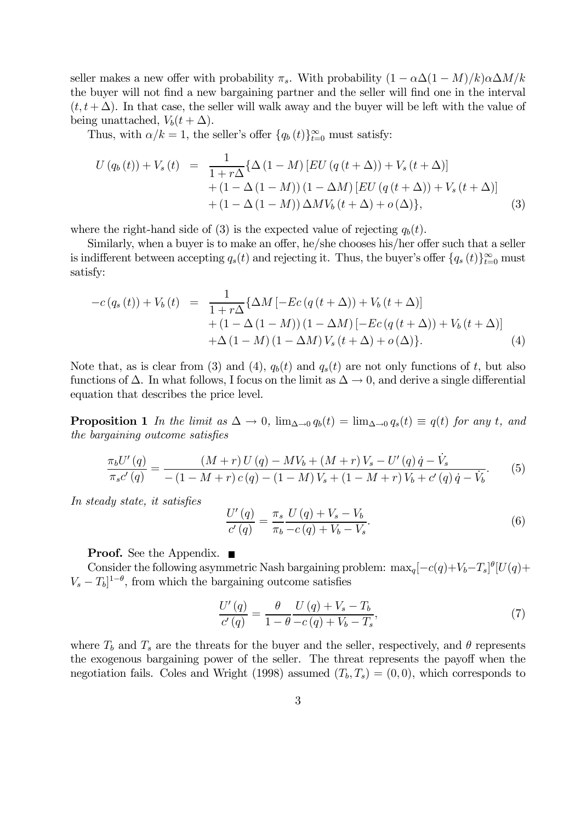seller makes a new offer with probability  $\pi_s$ . With probability  $(1 - \alpha \Delta (1 - M)/k) \alpha \Delta M/k$ the buyer will not find a new bargaining partner and the seller will find one in the interval  $(t, t + \Delta)$ . In that case, the seller will walk away and the buyer will be left with the value of being unattached,  $V_b(t + \Delta)$ .

Thus, with  $\alpha/k = 1$ , the seller's offer  $\{q_b(t)\}_{t=0}^{\infty}$  must satisfy:

$$
U(q_b(t)) + V_s(t) = \frac{1}{1+r\Delta} \{ \Delta (1-M) [EU(q(t+\Delta)) + V_s(t+\Delta)] + (1-\Delta(1-M))(1-\Delta M) [EU(q(t+\Delta)) + V_s(t+\Delta)] + (1-\Delta(1-M)) \Delta MV_b(t+\Delta) + o(\Delta) \},
$$
\n(3)

where the right-hand side of (3) is the expected value of rejecting  $q_b(t)$ .

Similarly, when a buyer is to make an offer, he/she chooses his/her offer such that a seller is indifferent between accepting  $q_s(t)$  and rejecting it. Thus, the buyer's offer  $\{q_s(t)\}_{t=0}^{\infty}$  must satisfy:

$$
-c(q_s(t)) + V_b(t) = \frac{1}{1+r\Delta} \{ \Delta M \left[ -Ec(q(t+\Delta)) + V_b(t+\Delta) \right] + (1 - \Delta(1-M))(1 - \Delta M) \left[ -Ec(q(t+\Delta)) + V_b(t+\Delta) \right] + \Delta(1-M)(1 - \Delta M) V_s(t+\Delta) + o(\Delta) \}.
$$
 (4)

Note that, as is clear from (3) and (4),  $q_b(t)$  and  $q_s(t)$  are not only functions of t, but also functions of  $\Delta$ . In what follows, I focus on the limit as  $\Delta \to 0$ , and derive a single differential equation that describes the price level.

**Proposition 1** In the limit as  $\Delta \to 0$ ,  $\lim_{\Delta \to 0} q_b(t) = \lim_{\Delta \to 0} q_s(t) \equiv q(t)$  for any t, and the bargaining outcome satisfies

$$
\frac{\pi_b U'(q)}{\pi_s c'(q)} = \frac{(M+r) U(q) - MV_b + (M+r)V_s - U'(q) \dot{q} - \dot{V}_s}{-(1-M+r) c(q) - (1-M)V_s + (1-M+r)V_b + c'(q) \dot{q} - \dot{V}_b}.
$$
(5)

In steady state, it satisfies

$$
\frac{U'(q)}{c'(q)} = \frac{\pi_s}{\pi_b} \frac{U(q) + V_s - V_b}{-c(q) + V_b - V_s}.
$$
\n(6)

**Proof.** See the Appendix. ■

Consider the following asymmetric Nash bargaining problem:  $\max_q[-c(q)+V_b-T_s]^{\theta}[U(q)+$  $V_s - T_b]^{1-\theta}$ , from which the bargaining outcome satisfies

$$
\frac{U'(q)}{c'(q)} = \frac{\theta}{1-\theta} \frac{U(q) + V_s - T_b}{-c(q) + V_b - T_s},\tag{7}
$$

where  $T_b$  and  $T_s$  are the threats for the buyer and the seller, respectively, and  $\theta$  represents the exogenous bargaining power of the seller. The threat represents the payoff when the negotiation fails. Coles and Wright (1998) assumed  $(T_b, T_s) = (0, 0)$ , which corresponds to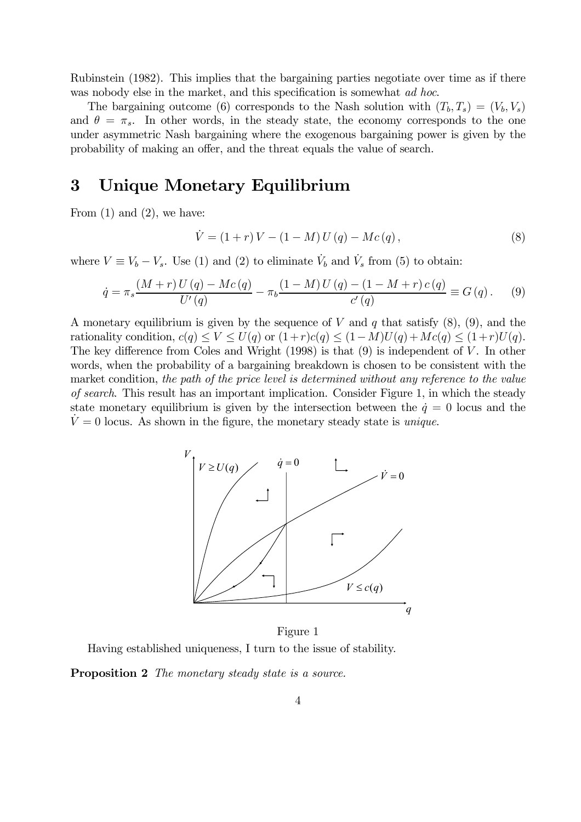Rubinstein (1982). This implies that the bargaining parties negotiate over time as if there was nobody else in the market, and this specification is somewhat *ad hoc*.

The bargaining outcome (6) corresponds to the Nash solution with  $(T_b, T_s)=(V_b, V_s)$ and  $\theta = \pi_s$ . In other words, in the steady state, the economy corresponds to the one under asymmetric Nash bargaining where the exogenous bargaining power is given by the probability of making an offer, and the threat equals the value of search.

## 3 Unique Monetary Equilibrium

From  $(1)$  and  $(2)$ , we have:

$$
\dot{V} = (1+r)V - (1-M)U(q) - Mc(q), \qquad (8)
$$

where  $V \equiv V_b - V_s$ . Use (1) and (2) to eliminate  $\dot{V}_b$  and  $\dot{V}_s$  from (5) to obtain:

$$
\dot{q} = \pi_s \frac{(M+r) U(q) - Mc(q)}{U'(q)} - \pi_b \frac{(1-M) U(q) - (1-M+r) c(q)}{c'(q)} \equiv G(q). \tag{9}
$$

A monetary equilibrium is given by the sequence of V and q that satisfy  $(8)$ ,  $(9)$ , and the rationality condition,  $c(q) \le V \le U(q)$  or  $(1+r)c(q) \le (1-M)U(q) + Mc(q) \le (1+r)U(q)$ . The key difference from Coles and Wright  $(1998)$  is that  $(9)$  is independent of V. In other words, when the probability of a bargaining breakdown is chosen to be consistent with the market condition, the path of the price level is determined without any reference to the value of search. This result has an important implication. Consider Figure 1, in which the steady state monetary equilibrium is given by the intersection between the  $\dot{q}=0$  locus and the  $V = 0$  locus. As shown in the figure, the monetary steady state is *unique*.



Figure 1 Having established uniqueness, I turn to the issue of stability.

Proposition 2 The monetary steady state is a source.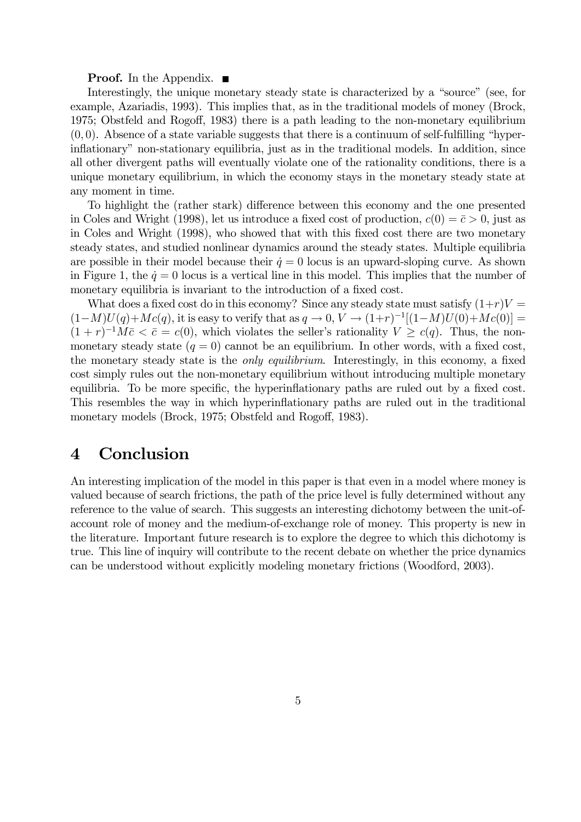#### **Proof.** In the Appendix.  $\blacksquare$

Interestingly, the unique monetary steady state is characterized by a "source" (see, for example, Azariadis, 1993). This implies that, as in the traditional models of money (Brock, 1975; Obstfeld and Rogoff, 1983) there is a path leading to the non-monetary equilibrium  $(0, 0)$ . Absence of a state variable suggests that there is a continuum of self-fulfilling "hyperinflationary" non-stationary equilibria, just as in the traditional models. In addition, since all other divergent paths will eventually violate one of the rationality conditions, there is a unique monetary equilibrium, in which the economy stays in the monetary steady state at any moment in time.

To highlight the (rather stark) difference between this economy and the one presented in Coles and Wright (1998), let us introduce a fixed cost of production,  $c(0) = \bar{c} > 0$ , just as in Coles and Wright (1998), who showed that with this fixed cost there are two monetary steady states, and studied nonlinear dynamics around the steady states. Multiple equilibria are possible in their model because their  $\dot{q} = 0$  locus is an upward-sloping curve. As shown in Figure 1, the  $\dot{q} = 0$  locus is a vertical line in this model. This implies that the number of monetary equilibria is invariant to the introduction of a fixed cost.

What does a fixed cost do in this economy? Since any steady state must satisfy  $(1+r)V =$  $(1-M)U(q)+Mc(q)$ , it is easy to verify that as  $q \to 0$ ,  $V \to (1+r)^{-1}[(1-M)U(0)+Mc(0)] =$  $(1 + r)^{-1}M\bar{c} < \bar{c} = c(0)$ , which violates the seller's rationality  $V \geq c(q)$ . Thus, the nonmonetary steady state  $(q = 0)$  cannot be an equilibrium. In other words, with a fixed cost, the monetary steady state is the only equilibrium. Interestingly, in this economy, a fixed cost simply rules out the non-monetary equilibrium without introducing multiple monetary equilibria. To be more specific, the hyperinflationary paths are ruled out by a fixed cost. This resembles the way in which hyperinflationary paths are ruled out in the traditional monetary models (Brock, 1975; Obstfeld and Rogoff, 1983).

### 4 Conclusion

An interesting implication of the model in this paper is that even in a model where money is valued because of search frictions, the path of the price level is fully determined without any reference to the value of search. This suggests an interesting dichotomy between the unit-ofaccount role of money and the medium-of-exchange role of money. This property is new in the literature. Important future research is to explore the degree to which this dichotomy is true. This line of inquiry will contribute to the recent debate on whether the price dynamics can be understood without explicitly modeling monetary frictions (Woodford, 2003).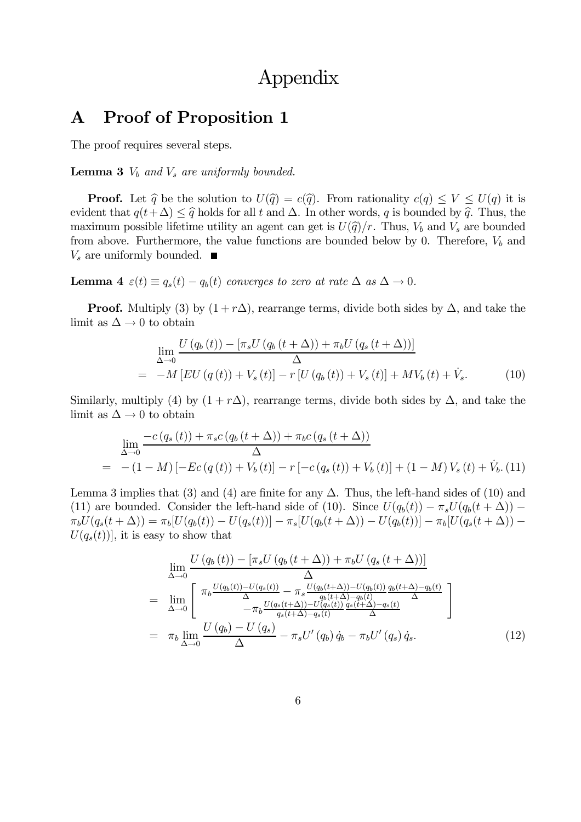# Appendix

### A Proof of Proposition 1

The proof requires several steps.

**Lemma 3**  $V_b$  and  $V_s$  are uniformly bounded.

**Proof.** Let  $\hat{q}$  be the solution to  $U(\hat{q}) = c(\hat{q})$ . From rationality  $c(q) \leq V \leq U(q)$  it is evident that  $q(t+\Delta) \leq \hat{q}$  holds for all t and  $\Delta$ . In other words, q is bounded by  $\hat{q}$ . Thus, the maximum possible lifetime utility an agent can get is  $U(\hat{q})/r$ . Thus,  $V_b$  and  $V_s$  are bounded from above. Furthermore, the value functions are bounded below by 0. Therefore,  $V_b$  and  $V_s$  are uniformly bounded.  $\blacksquare$ 

**Lemma 4**  $\varepsilon(t) \equiv q_s(t) - q_b(t)$  converges to zero at rate  $\Delta$  as  $\Delta \rightarrow 0$ .

**Proof.** Multiply (3) by  $(1 + r\Delta)$ , rearrange terms, divide both sides by  $\Delta$ , and take the limit as  $\Delta \rightarrow 0$  to obtain

$$
\lim_{\Delta \to 0} \frac{U(q_b(t)) - [\pi_s U(q_b(t + \Delta)) + \pi_b U(q_s(t + \Delta))]}{\Delta}
$$
\n
$$
= -M \left[ EU(q(t)) + V_s(t) \right] - r \left[ U(q_b(t)) + V_s(t) \right] + MV_b(t) + \dot{V}_s. \tag{10}
$$

Similarly, multiply (4) by  $(1 + r\Delta)$ , rearrange terms, divide both sides by  $\Delta$ , and take the limit as  $\Delta \rightarrow 0$  to obtain

$$
\lim_{\Delta \to 0} \frac{-c (q_s(t)) + \pi_s c (q_b(t + \Delta)) + \pi_b c (q_s(t + \Delta))}{\Delta}
$$
\n
$$
= -(1 - M) [-Ec(q(t)) + V_b(t)] - r [-c(q_s(t)) + V_b(t)] + (1 - M) V_s(t) + V_b. (11)
$$

Lemma 3 implies that (3) and (4) are finite for any  $\Delta$ . Thus, the left-hand sides of (10) and (11) are bounded. Consider the left-hand side of (10). Since  $U(q_b(t)) - \pi_s U(q_b(t + \Delta))$  –  $\pi_b U(q_s(t + \Delta)) = \pi_b [U(q_b(t)) - U(q_s(t))] - \pi_s [U(q_b(t + \Delta)) - U(q_b(t))] - \pi_b [U(q_s(t + \Delta)) U(q_s(t))$ , it is easy to show that

$$
\lim_{\Delta \to 0} \frac{U(q_b(t)) - [\pi_s U(q_b(t + \Delta)) + \pi_b U(q_s(t + \Delta))]}{\Delta}
$$
\n
$$
= \lim_{\Delta \to 0} \left[ \pi_b \frac{U(q_b(t)) - U(q_s(t))}{\Delta} - \pi_s \frac{U(q_b(t + \Delta)) - U(q_b(t))}{q_b(t + \Delta) - q_b(t)} \frac{q_b(t + \Delta) - q_b(t)}{\Delta} \right]
$$
\n
$$
= \pi_b \lim_{\Delta \to 0} \frac{U(q_b) - U(q_s)}{\Delta} - \pi_s U'(q_b) \dot{q}_s - \pi_b U'(q_s) \dot{q}_s.
$$
\n(12)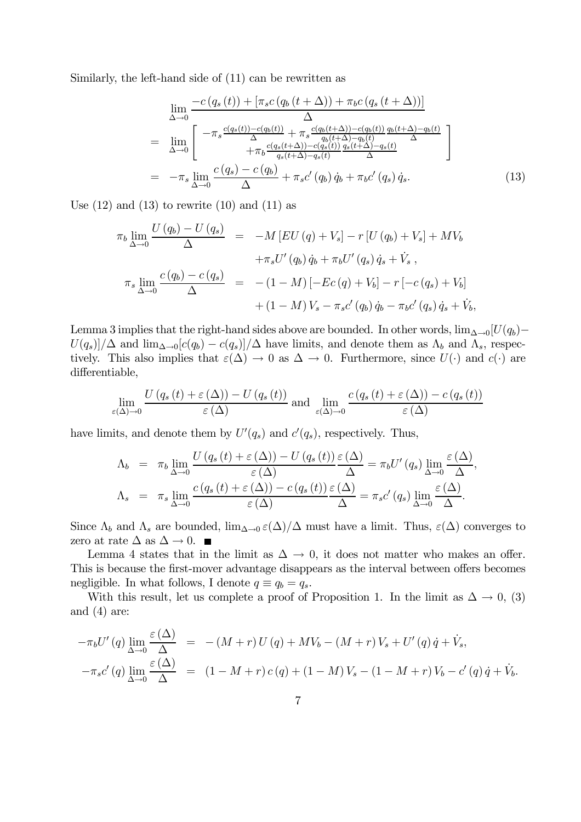Similarly, the left-hand side of (11) can be rewritten as

$$
\lim_{\Delta \to 0} \frac{-c (q_s (t)) + [\pi_{s} c (q_b (t + \Delta)) + \pi_{b} c (q_s (t + \Delta))]}{\Delta}
$$
\n
$$
= \lim_{\Delta \to 0} \left[ -\pi_s \frac{c (q_s (t)) - c (q_b (t))}{\Delta} + \pi_s \frac{c (q_b (t + \Delta)) - c (q_b (t))}{q_b (t + \Delta) - q_b (t)} \frac{q_b (t + \Delta) - q_b (t)}{\Delta} \right]
$$
\n
$$
= -\pi_s \lim_{\Delta \to 0} \frac{c (q_s) - c (q_b)}{\Delta} + \pi_s c' (q_b) \dot{q}_b + \pi_{b} c' (q_s) \dot{q}_s. \tag{13}
$$

Use  $(12)$  and  $(13)$  to rewrite  $(10)$  and  $(11)$  as

$$
\pi_b \lim_{\Delta \to 0} \frac{U(q_b) - U(q_s)}{\Delta} = -M [EU(q) + V_s] - r [U(q_b) + V_s] + MV_b
$$
  
+
$$
\pi_s U'(q_b) \dot{q}_b + \pi_b U'(q_s) \dot{q}_s + \dot{V}_s ,
$$
  

$$
\pi_s \lim_{\Delta \to 0} \frac{c(q_b) - c(q_s)}{\Delta} = -(1 - M) [-Ec(q) + V_b] - r [-c(q_s) + V_b] + (1 - M) V_s - \pi_s c'(q_b) \dot{q}_b - \pi_b c'(q_s) \dot{q}_s + \dot{V}_b ,
$$

Lemma 3 implies that the right-hand sides above are bounded. In other words,  $\lim_{\Delta\to 0}[U(q_b) U(q_s)/\Delta$  and  $\lim_{\Delta\to 0} [c(q_b) - c(q_s)]/\Delta$  have limits, and denote them as  $\Lambda_b$  and  $\Lambda_s$ , respectively. This also implies that  $\varepsilon(\Delta) \to 0$  as  $\Delta \to 0$ . Furthermore, since  $U(\cdot)$  and  $c(\cdot)$  are differentiable,

$$
\lim_{\varepsilon(\Delta)\to 0} \frac{U(q_s(t) + \varepsilon(\Delta)) - U(q_s(t))}{\varepsilon(\Delta)} \text{ and } \lim_{\varepsilon(\Delta)\to 0} \frac{c(q_s(t) + \varepsilon(\Delta)) - c(q_s(t))}{\varepsilon(\Delta)}
$$

have limits, and denote them by  $U'(q_s)$  and  $c'(q_s)$ , respectively. Thus,

$$
\Lambda_b = \pi_b \lim_{\Delta \to 0} \frac{U(q_s(t) + \varepsilon(\Delta)) - U(q_s(t)) \varepsilon(\Delta)}{\varepsilon(\Delta)} = \pi_b U'(q_s) \lim_{\Delta \to 0} \frac{\varepsilon(\Delta)}{\Delta},
$$
  

$$
\Lambda_s = \pi_s \lim_{\Delta \to 0} \frac{c(q_s(t) + \varepsilon(\Delta)) - c(q_s(t)) \varepsilon(\Delta)}{\varepsilon(\Delta)} = \pi_s c'(q_s) \lim_{\Delta \to 0} \frac{\varepsilon(\Delta)}{\Delta}.
$$

Since  $\Lambda_b$  and  $\Lambda_s$  are bounded,  $\lim_{\Delta\to 0} \varepsilon(\Delta)/\Delta$  must have a limit. Thus,  $\varepsilon(\Delta)$  converges to zero at rate  $\Delta$  as  $\Delta \rightarrow 0$ . ■

Lemma 4 states that in the limit as  $\Delta \to 0$ , it does not matter who makes an offer. This is because the first-mover advantage disappears as the interval between offers becomes negligible. In what follows, I denote  $q \equiv q_b = q_s$ .

With this result, let us complete a proof of Proposition 1. In the limit as  $\Delta \to 0$ , (3) and  $(4)$  are:

$$
-\pi_b U'(q) \lim_{\Delta \to 0} \frac{\varepsilon(\Delta)}{\Delta} = -(M+r) U(q) + M V_b - (M+r) V_s + U'(q) \dot{q} + \dot{V}_s,
$$
  

$$
-\pi_s c'(q) \lim_{\Delta \to 0} \frac{\varepsilon(\Delta)}{\Delta} = (1 - M+r) c(q) + (1-M) V_s - (1-M+r) V_b - c'(q) \dot{q} + \dot{V}_b.
$$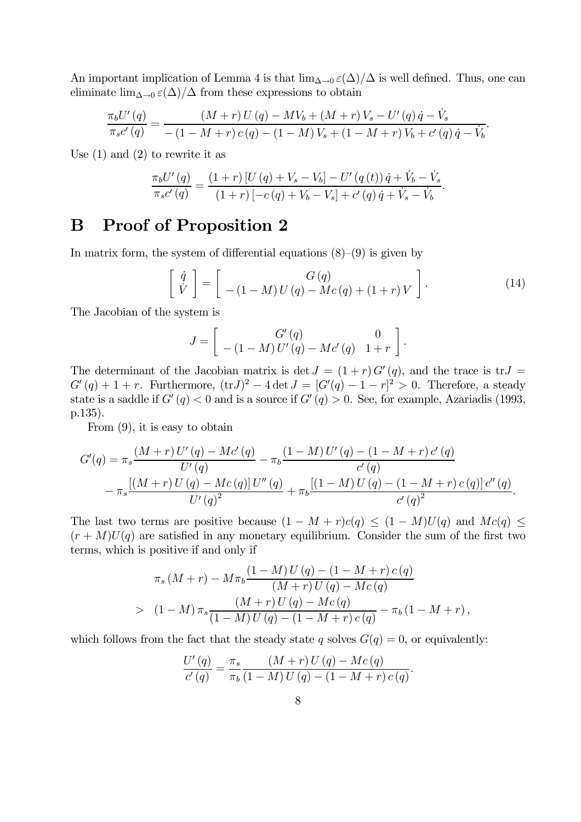An important implication of Lemma 4 is that  $\lim_{\Delta\to 0} \varepsilon(\Delta)/\Delta$  is well defined. Thus, one can eliminate  $\lim_{\Delta\to 0} \varepsilon(\Delta)/\Delta$  from these expressions to obtain

$$
\frac{\pi_b U'(q)}{\pi_s c'(q)} = \frac{(M+r) U(q) - MV_b + (M+r)V_s - U'(q) \dot{q} - \dot{V}_s}{-(1-M+r) c(q) - (1-M)V_s + (1-M+r)V_b + c'(q) \dot{q} - \dot{V}_b}.
$$

Use  $(1)$  and  $(2)$  to rewrite it as

$$
\frac{\pi_b U'(q)}{\pi_s c'(q)} = \frac{(1+r)[U(q) + V_s - V_b] - U'(q(t))\dot{q} + \dot{V}_b - \dot{V}_s}{(1+r)[-c(q) + V_b - V_s] + c'(q)\dot{q} + \dot{V}_s - \dot{V}_b}.
$$

## B Proof of Proposition 2

In matrix form, the system of differential equations  $(8)$ – $(9)$  is given by

$$
\begin{bmatrix}\n\dot{q} \\
\dot{V}\n\end{bmatrix} = \begin{bmatrix}\nG(q) \\
-(1-M)U(q) - Mc(q) + (1+r)V\n\end{bmatrix}.
$$
\n(14)

The Jacobian of the system is

$$
J = \left[ \begin{array}{cc} G'(q) & 0 \\ -(1-M) U'(q) - M c'(q) & 1+r \end{array} \right].
$$

The determinant of the Jacobian matrix is det  $J = (1 + r) G'(q)$ , and the trace is tr $J =$  $G'(q) + 1 + r$ . Furthermore,  $(\text{tr} J)^2 - 4 \det J = [G'(q) - 1 - r]^2 > 0$ . Therefore, a steady state is a saddle if  $G'(q) < 0$  and is a source if  $G'(q) > 0$ . See, for example, Azariadis (1993, p.135).

From (9), it is easy to obtain

$$
G'(q) = \pi_s \frac{(M+r) U'(q) - Mc'(q)}{U'(q)} - \pi_b \frac{(1-M) U'(q) - (1-M+r) c'(q)}{c'(q)} - \pi_s \frac{[(M+r) U(q) - Mc(q)] U''(q)}{U'(q)^2} + \pi_b \frac{[(1-M) U(q) - (1-M+r) c(q)] c''(q)}{c'(q)^2}.
$$

The last two terms are positive because  $(1 - M + r)c(q) \leq (1 - M)U(q)$  and  $Mc(q) \leq$  $(r + M)U(q)$  are satisfied in any monetary equilibrium. Consider the sum of the first two terms, which is positive if and only if

$$
\pi_s (M+r) - M \pi_b \frac{(1-M) U (q) - (1-M+r) c (q)}{(M+r) U (q) - Mc (q)}
$$
  
> 
$$
(1-M) \pi_s \frac{(M+r) U (q) - Mc (q)}{(1-M) U (q) - (1-M+r) c (q)} - \pi_b (1-M+r),
$$

which follows from the fact that the steady state q solves  $G(q)=0$ , or equivalently:

$$
\frac{U'(q)}{c'(q)} = \frac{\pi_s}{\pi_b} \frac{(M+r) U(q) - Mc(q)}{(1-M) U(q) - (1-M+r) c(q)}.
$$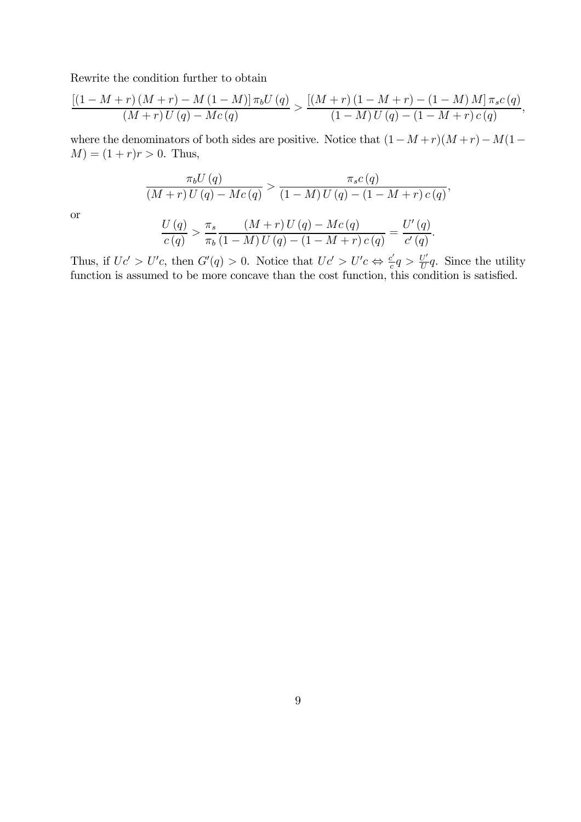Rewrite the condition further to obtain

$$
\frac{\left[\left(1-M+r\right)\left(M+r\right)-M\left(1-M\right)\right]\pi_{b}U\left(q\right)}{\left(M+r\right)U\left(q\right)-Mc\left(q\right)} > \frac{\left[\left(M+r\right)\left(1-M+r\right)-\left(1-M\right)M\right]\pi_{s}c\left(q\right)}{\left(1-M\right)U\left(q\right)-\left(1-M+r\right)c\left(q\right)},
$$

where the denominators of both sides are positive. Notice that  $(1-M+r)(M+r)-M(1 M = (1 + r)r > 0$ . Thus,

$$
\frac{\pi_b U(q)}{(M+r) U(q) - Mc(q)} > \frac{\pi_s c(q)}{(1-M) U(q) - (1-M+r) c(q)},
$$

or

$$
\frac{U(q)}{c(q)} > \frac{\pi_s}{\pi_b} \frac{(M+r) U(q) - Mc(q)}{(1-M) U(q) - (1-M+r) c(q)} = \frac{U'(q)}{c'(q)}.
$$

Thus, if  $Uc' > U'c$ , then  $G'(q) > 0$ . Notice that  $Uc' > U'c \Leftrightarrow \frac{c'}{c}q > \frac{U'}{U}q$ . Since the utility function is assumed to be more concave than the cost function, this condition is satisfied.